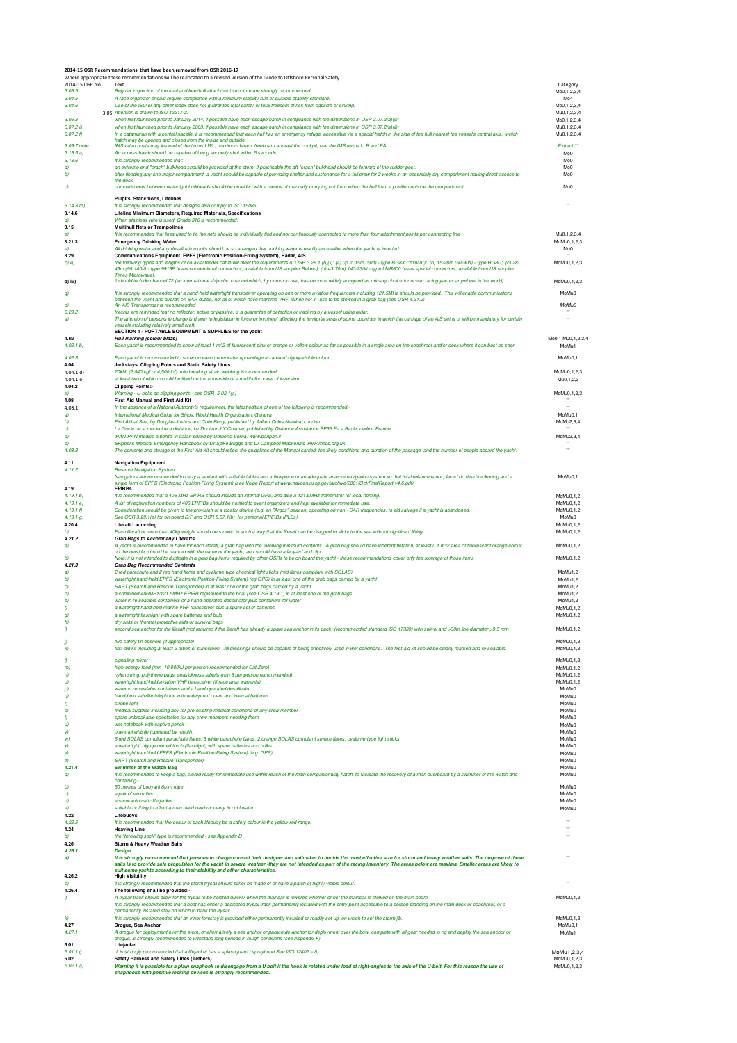|                          | 2014-15 OSR Recommendations that have been removed from OSR 2016-17<br>Where appropriate these recommendations will be re-located to a revised version of the Guide to Offshore Personal Safety                                                                                                                                                                                              |                                             |
|--------------------------|----------------------------------------------------------------------------------------------------------------------------------------------------------------------------------------------------------------------------------------------------------------------------------------------------------------------------------------------------------------------------------------------|---------------------------------------------|
| 2014-15 OSR No.          | Text                                                                                                                                                                                                                                                                                                                                                                                         | Category                                    |
| 3.03.5<br>3.04.5         | Regular inspection of the keel and keel/hull attachment structure are strongly recommended<br>A race organizer should require compliance with a minimum stability rule or suitable stability standard.                                                                                                                                                                                       | Mo0.1.2.3.4<br>Mo <sub>4</sub>              |
| 3.04.6                   | Use of the ISO or any other index does not guarantee total safety or total freedom of risk from capsize or sinking.<br>3 ns Attention is drawn to ISO 12217-2.                                                                                                                                                                                                                               | Mo0, 1, 2, 3, 4                             |
| 3.06.3                   | when first launched prior to January 2014, if possible have each escape hatch in compliance with the dimensions in OSR 3.07.2(a)(ii);                                                                                                                                                                                                                                                        | Mu0,1,2,3,4<br>Mo0, 1, 2, 3, 4              |
| $3.07.2$ iii<br>3.07.2 f | when first launched prior to January 2003, if possible have each escape hatch in compliance with the dimensions in OSR 3.07.2(a)(ii);<br>In a catamaran with a central nacelle, it is recommended that each hull has an emergency refuge, accessible via a special hatch in the side of the hull nearest the vessel's central axis, which                                                    | Mu0, 1, 2, 3, 4<br>Mu0.1.2.3.4              |
| 3.09.7 note              | hatch may be opened and closed from the inside and outside<br>IMS-rated boats may instead of the terms LWL, maximum beam, freeboard abreast the cockpit, use the IMS terms L, B and FA                                                                                                                                                                                                       | Extract <sup>**</sup>                       |
| 3.13.5a                  | An access hatch should be capable of being securely shut within 5 seconds                                                                                                                                                                                                                                                                                                                    | MoO                                         |
| 3.13.6<br>a)             | It is strongly recommended that:<br>an extreme end "crash" bulkhead should be provided at the stern. If practicable the aft "crash" bulkhead should be forward of the rudder post.                                                                                                                                                                                                           | MoO<br>Mo0                                  |
| b)                       | after flooding any one major compartment, a yacht should be capable of providing shelter and sustenance for a full crew for 2 weeks in an essentially dry compartment having direct access to                                                                                                                                                                                                | Mo0                                         |
| c)                       | the deck<br>compartments between watertight bulkheads should be provided with a means of manually pumping out from within the hull from a position outside the compartment                                                                                                                                                                                                                   | MoO                                         |
|                          | Pulpits, Stanchions, Lifelines                                                                                                                                                                                                                                                                                                                                                               |                                             |
| 3.14.3 m)<br>3.14.6      | It is strongly recommended that designs also comply to ISO 15085<br>Lifeline Minimum Diameters, Required Materials, Specifications                                                                                                                                                                                                                                                           | $\ddot{\phantom{0}}$                        |
| d)                       | When stainless wire is used, Grade 316 is recommended.                                                                                                                                                                                                                                                                                                                                       |                                             |
| 3.15<br>e)               | <b>Multihull Nets or Trampolines</b><br>It is recommended that lines used to tie the nets should be individually tied and not continuously connected to more than four attachment points per connecting line                                                                                                                                                                                 | Mu0.1.2.3.4                                 |
| 3.21.3                   | <b>Emergency Drinking Water</b>                                                                                                                                                                                                                                                                                                                                                              | MoMu0,1,2,3                                 |
| $\theta)$<br>3.29        | All drinking water and any desalination units should be so arranged that drinking water is readily accessible when the yacht is inverted.<br>Communications Equipment, EPFS (Electronic Position-Fixing System), Radar, AIS                                                                                                                                                                  | MuO<br>$\ddot{\phantom{0}}$                 |
| b) iii)                  | the following types and lengths of co-axial feeder cable will meet the requirements of OSR 3.29.1 (b)(ii): (a) up to 15m (50ft) - type RG8X ("mini 8"); (b) 15-28m (50-90ft) - type RG8U; (c) 28-<br>43m (90-140ft) - type 9913F (uses conventional connectors, available from US supplier Belden); (d) 43-70m) 140-230ft - type LMR600 (uses special connectors, available from US supplier | MoMu0,1,2,3                                 |
| b) iv)                   | Times Microwave).<br>it should include channel 72 (an international ship-ship channel which, by common use, has become widely accepted as primary choice for ocean racing yachts anywhere in the world)                                                                                                                                                                                      | MoMu0.1.2.3                                 |
|                          |                                                                                                                                                                                                                                                                                                                                                                                              |                                             |
| g)                       | It is strongly recommended that a hand-held watertight transceiver operating on one or more aviation frequencies including 121.5MHz should be provided. This will enable communications<br>between the yacht and aircraft on SAR duties, not all of which have maritime VHF. When not in use to be stowed in a grab bag (see OSR 4.21.2)                                                     | MoMu0                                       |
| o)<br>3.29.2             | An AIS Transponder is recommended<br>Yachts are reminded that no reflector, active or passive, is a quarantee of detection or tracking by a vessel using radar.                                                                                                                                                                                                                              | MoMu <sub>3</sub><br>$\ddot{\phantom{0}}$   |
| a)                       | The attention of persons in charge is drawn to legislation in force or imminent affecting the territorial seas of some countries in which the carriage of an AIS set is or will be mandatory for certain<br>vessels including relatively small craft.                                                                                                                                        | $\ddot{\phantom{0}}$                        |
|                          | SECTION 4 - PORTABLE EQUIPMENT & SUPPLIES for the yacht                                                                                                                                                                                                                                                                                                                                      |                                             |
| 4.02<br>4.02.1 b)        | Hull marking (colour blaze)<br>Each yacht is recommended to show at least 1 m^2 of fluorescent pink or orange or yellow colour as far as possible in a single area on the coachroof and/or deck where it can best be seen                                                                                                                                                                    | Mo0.1.Mu0.1.2.3.4<br>MoMu1                  |
| 4.02.3                   | Each yacht is recommended to show on each underwater appendage an area of highly-visible colour                                                                                                                                                                                                                                                                                              | MoMu0,1                                     |
| 4.04                     | Jackstays, Clipping Points and Static Safety Lines                                                                                                                                                                                                                                                                                                                                           |                                             |
| 4.04.1 d<br>4.04.1e      | 20kN (2,040 kgf or 4,500 lbf) min breaking strain webbing is recommended;<br>at least two of which should be fitted on the underside of a multihull in case of inversion.                                                                                                                                                                                                                    | MoMu0.1.2.3<br>Mu0.1.2.3                    |
| 4.04.2<br>e)             | <b>Clipping Points:-</b><br>Warning - U-bolts as clipping points - see OSR 5.02.1(a)                                                                                                                                                                                                                                                                                                         | MoMu0,1,2,3                                 |
| 4.08                     | First Aid Manual and First Aid Kit                                                                                                                                                                                                                                                                                                                                                           | $\bullet\bullet$                            |
| 4.08.1<br>a)             | In the absence of a National Authority's requirement, the latest edition of one of the following is recommended:-<br>International Medical Guide for Ships, World Health Organisation, Geneva                                                                                                                                                                                                | $\ddot{\phantom{0}}$<br>MoMu <sub>0.1</sub> |
| b)                       | First Aid at Sea, by Douglas Justins and Colin Berry, published by Adlard Coles Nautical London                                                                                                                                                                                                                                                                                              | MoMu2.3.4                                   |
| c)<br>d)                 | Le Guide de la medecine a distance, by Docteur J Y Chauve, published by Distance Assistance BP33 F-La Baule, cedex, France.<br>'PAN-PAN medico a bordo' in Italian edited by Umberto Verna. www.panpan.it                                                                                                                                                                                    | $\bullet\,\bullet$<br>MoMu2,3,4             |
| $\theta)$                | Skipper's Medical Emergency Handbook by Dr Spike Briggs and Dr Campbell Mackenzie www.msos.org.uk                                                                                                                                                                                                                                                                                            | $\bullet\bullet$<br>$\ddot{\phantom{0}}$    |
| 4.08.3                   | The contents and storage of the First Aid Kit should reflect the guidelines of the Manual carried, the likely conditions and duration of the passage, and the number of people aboard the yacht.                                                                                                                                                                                             |                                             |
| 4.11<br>4.11.2           | <b>Navigation Equipment</b><br><b>Reserve Navigation System</b>                                                                                                                                                                                                                                                                                                                              |                                             |
|                          | Navigators are recommended to carry a sextant with suitable tables and a timepiece or an adequate reserve navigation system so that total reliance is not placed on dead-reckoning and a<br>single form of EPFS (Electronic Position-Fixing System) (see Volpe Report at www.navcen.uscg.gov/archive/2001/Oct/FinalReport-v4.6.pdf)                                                          | MoMu0,1                                     |
| 4.19                     | <b>EPIRBs</b>                                                                                                                                                                                                                                                                                                                                                                                |                                             |
| 4.19.1 b)<br>4.19.1 e    | It is recommended that a 406 MHz EPIRB should include an internal GPS, and also a 121.5MHz transmitter for local homing.<br>A list of registration numbers of 406 EPIRBs should be notified to event organizers and kept available for immediate use.                                                                                                                                        | MoMu0,1,2<br>MoMu0.1.2                      |
| 4.19.1 f                 | Consideration should be given to the provision of a locator device (e.g. an "Argos" beacon) operating on non - SAR frequencies, to aid salvage if a yacht is abandoned.<br>See OSR 3.29.1(e) for on-board D/F and OSR 5.07.1(b) for personal EPIRBs (PLBs)                                                                                                                                   | MoMu0,1,2<br>MoMu0                          |
| 4.19.1 g)<br>4.20.4      | Liferaft Launching                                                                                                                                                                                                                                                                                                                                                                           | MoMu0.1.2                                   |
| b)<br>4.21.2             | Each liferaft of more than 40kg weight should be stowed in such a way that the liferaft can be dragged or slid into the sea without significant lifting<br><b>Grab Bags to Accompany Liferafts</b>                                                                                                                                                                                           | MoMu0.1.2                                   |
| a)                       | A yacht is recommended to have for each liferaft, a grab bag with the following minimum contents. A grab bag should have inherent flotation, at least 0.1 m^2 area of fluorescent orange colour                                                                                                                                                                                              | MoMu0,1,2                                   |
| b)                       | on the outside, should be marked with the name of the vacht, and should have a lanvard and clip.<br>Note: it is not intended to duplicate in a grab bag items required by other OSRs to be on board the yacht - these recommendations cover only the stowage of those items                                                                                                                  | MoMu0.1.2                                   |
| 4.21.3<br>a)             | <b>Grab Bag Recommended Contents</b><br>2 red parachute and 2 red hand flares and cyalume-type chemical light sticks (red flares compliant with SOLAS)                                                                                                                                                                                                                                       | MoMu1.2                                     |
| b)                       | watertight hand-held EPFS (Electronic Position-Fixing System) (eg GPS) in at least one of the grab bags carried by a yacht                                                                                                                                                                                                                                                                   | MoMu1.2                                     |
| c)<br>d)                 | SART (Search and Rescue Transponder) in at least one of the grab bags carried by a vacht<br>a combined 406MHz/121.5MHz EPIRB registered to the boat (see OSR 4.19.1) in at least one of the grab bags                                                                                                                                                                                        | MoMu1,2<br>MoMu1,2                          |
| е)                       | water in re-sealable containers or a hand-operated desalinator plus containers for water<br>a watertight hand-held marine VHF transceiver plus a spare set of batteries                                                                                                                                                                                                                      | MoMu1,2<br>MoMu0.1.2                        |
| f)<br>g)                 | a watertight flashlight with spare batteries and bulb                                                                                                                                                                                                                                                                                                                                        | MoMu0.1.2                                   |
| h)<br>ŋ                  | dry suits or thermal protective aids or survival bad<br>second sea anchor for the liferaft (not required if the liferaft has already a spare sea anchor in its pack) (recommended standard ISO 17339) with swivel and >30m line diameter >9.5 mm                                                                                                                                             | MoMu0,1,2                                   |
|                          | two safety tin openers (if appropriate)                                                                                                                                                                                                                                                                                                                                                      | MoMu0.1.2                                   |
| j)<br>k)                 | first-aid kit including at least 2 tubes of sunscreen. All dressings should be capable of being effectively used in wet conditions. The first-aid kit should be clearly marked and re-sealable.                                                                                                                                                                                              | MoMu0.1.2                                   |
| ŋ                        | signalling mirror                                                                                                                                                                                                                                                                                                                                                                            | MoMu0,1,2                                   |
| m)<br>n)                 | high-energy food (min 10 000kJ per person recommended for Cat Zero)<br>nylon string, polythene bags, seasickness tablets (min 6 per person recommended)                                                                                                                                                                                                                                      | MoMu0,1,2<br>MoMu0.1.2                      |
| o)                       | watertight hand-held aviation VHF transceiver (if race area warrants)                                                                                                                                                                                                                                                                                                                        | MoMu0.1.2                                   |
| p)<br>q)                 | water in re-sealable containers and a hand-operated desalinator<br>hand-held satellite telephone with waterproof cover and internal batteries                                                                                                                                                                                                                                                | MoMu0<br>MoMu0                              |
| r)                       | strobe light                                                                                                                                                                                                                                                                                                                                                                                 | MoMu0                                       |
| s)<br>t)                 | medical supplies including any for pre-existing medical conditions of any crew member<br>spare unbreakable spectacles for any crew members needing them                                                                                                                                                                                                                                      | MoMu0<br>MoMu0                              |
| $\boldsymbol{u}$<br>v)   | wet notebook with captive penci<br>powerful whistle (operated by mouth)                                                                                                                                                                                                                                                                                                                      | MoMu0<br>MoMu0                              |
| w)                       | 6 red SOLAS compliant parachute flares, 3 white parachute flares, 2 orange SOLAS compliant smoke flares, cyalume-type light sticks                                                                                                                                                                                                                                                           | MoMu0                                       |
| x)<br>y)                 | a watertight, high-powered torch (flashlight) with spare batteries and bulbs<br>watertight hand-held EPFS (Electronic Position-Fixing System) (e.g. GPS)                                                                                                                                                                                                                                     | MoMu0<br>MoMu0                              |
| z)                       | <b>SART (Search and Rescue Transponder)</b>                                                                                                                                                                                                                                                                                                                                                  | MoMu0                                       |
| 4.21.4<br>a)             | <b>Swimmer of the Watch Bag</b><br>It is recommended to keep a bag, stored ready for immediate use within reach of the main companionway hatch, to facilitate the recovery of a man overboard by a swimmer of the watch and                                                                                                                                                                  | MoMu0<br>MoMu0                              |
| b)                       | containing<br>50 metres of buoyant 8mm rope                                                                                                                                                                                                                                                                                                                                                  | MoMu0                                       |
| C)                       | a pair of swim fins                                                                                                                                                                                                                                                                                                                                                                          | MoMu0                                       |
| d)<br>$\theta)$          | a semi-automatic life jacket<br>suitable clothing to effect a man overboard recovery in cold water                                                                                                                                                                                                                                                                                           | MoMu0<br>MoMu0                              |
| 4.22                     | Lifebuovs                                                                                                                                                                                                                                                                                                                                                                                    | $\ddot{\phantom{0}}$                        |
| 4.22.5<br>4.24           | It is recommended that the colour of each lifebuoy be a safety colour in the yellow-red range<br><b>Heaving Line</b>                                                                                                                                                                                                                                                                         | $\ddot{\phantom{0}}$                        |
| b)<br>4.26               | the "throwing sock" type is recommended - see Appendix D<br><b>Storm &amp; Heavy Weather Sails</b>                                                                                                                                                                                                                                                                                           |                                             |
| 4.26.1                   | <b>Design</b>                                                                                                                                                                                                                                                                                                                                                                                |                                             |
| a)                       | it is strongly recommended that persons in charge consult their designer and sailmaker to decide the most effective size for storm and heavy weather sails. The purpose of these<br>sails is to provide safe propulsion for the yacht in severe weather -they are not intended as part of the racing inventory. The areas below are maxima. Smaller areas are likely to                      |                                             |
| 4.26.2                   | suit some yachts according to their stability and other characteristics.<br><b>High Visibility</b>                                                                                                                                                                                                                                                                                           |                                             |
| b)                       | it is strongly recommended that the storm trysail should either be made of or have a patch of highly visible colour.                                                                                                                                                                                                                                                                         |                                             |
| 4.26.4<br>ŋ              | The following shall be provided:-<br>A trysail track should allow for the trysail to be hoisted quickly when the mainsail is lowered whether or not the mainsail is stowed on the main boom.                                                                                                                                                                                                 | MoMu0.1.2                                   |
|                          | It is strongly recommended that a boat has either a dedicated trysail track permanently installed with the entry point accessible to a person standing on the main deck or coachroof, or a<br>permanently installed stay on which to hank the trysal.                                                                                                                                        |                                             |
| $\bf k$                  | It is strongly recommended that an inner forestay is provided either permanently installed or readily set up, on which to set the storm jib.                                                                                                                                                                                                                                                 | MoMu0.1.2                                   |
| 4.27<br>4.27.1           | Drogue, Sea Anchor<br>A drogue for deployment over the stern, or alternatively a sea anchor or parachute anchor for deployment over the bow, complete with all gear needed to rig and deploy the sea anchor or                                                                                                                                                                               | MoMu0.1<br>MoMu1                            |
| 5.01                     | drogue, is strongly recommended to withstand long periods in rough conditions (see Appendix F).<br>Lifejacket                                                                                                                                                                                                                                                                                |                                             |
| 5.01.1h                  | It is strongly recommended that a lifejacket has a splashguard / sprayhood See ISO 12402 - 8,                                                                                                                                                                                                                                                                                                | MoMu1,2,3,4                                 |
| 5.02<br>5.02.1 a)        | Safety Harness and Safety Lines (Tethers)<br>Warning it is possible for a plain snaphook to disengage from a U bolt if the hook is rotated under load at right-angles to the axis of the U-bolt. For this reason the use of                                                                                                                                                                  | MoMu0.1.2.3<br>MoMu0,1,2,3                  |
|                          | snaphooks with positive locking devices is strongly recommended.                                                                                                                                                                                                                                                                                                                             |                                             |